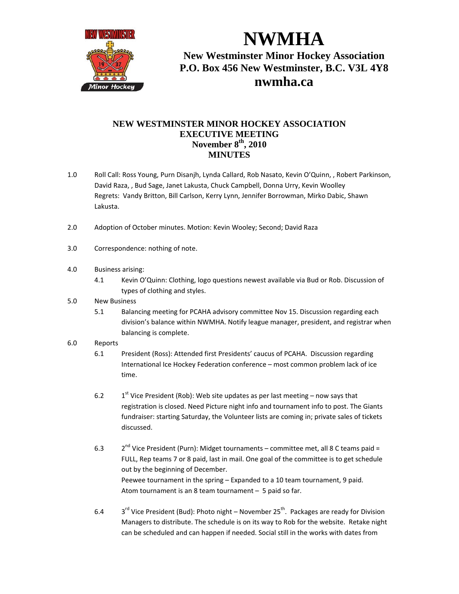

**NWMHA New Westminster Minor Hockey Association P.O. Box 456 New Westminster, B.C. V3L 4Y8 nwmha.ca**

## **NEW WESTMINSTER MINOR HOCKEY ASSOCIATION EXECUTIVE MEETING November 8th, 2010 MINUTES**

- 1.0 Roll Call: Ross Young, Purn Disanjh, Lynda Callard, Rob Nasato, Kevin O'Quinn, , Robert Parkinson, David Raza, , Bud Sage, Janet Lakusta, Chuck Campbell, Donna Urry, Kevin Woolley Regrets: Vandy Britton, Bill Carlson, Kerry Lynn, Jennifer Borrowman, Mirko Dabic, Shawn Lakusta.
- 2.0 Adoption of October minutes. Motion: Kevin Wooley; Second; David Raza
- 3.0 Correspondence: nothing of note.
- 4.0 Business arising:
	- 4.1 Kevin O'Quinn: Clothing, logo questions newest available via Bud or Rob. Discussion of types of clothing and styles.
- 5.0 New Business
	- 5.1 Balancing meeting for PCAHA advisory committee Nov 15. Discussion regarding each division's balance within NWMHA. Notify league manager, president, and registrar when balancing is complete.
- 6.0 Reports
	- 6.1 President (Ross): Attended first Presidents' caucus of PCAHA. Discussion regarding International Ice Hockey Federation conference – most common problem lack of ice time.
	- 6.2  $1^{st}$  Vice President (Rob): Web site updates as per last meeting now says that registration is closed. Need Picture night info and tournament info to post. The Giants fundraiser: starting Saturday, the Volunteer lists are coming in; private sales of tickets discussed.
	- 6.3  $2<sup>nd</sup>$  Vice President (Purn): Midget tournaments committee met, all 8 C teams paid = FULL, Rep teams 7 or 8 paid, last in mail. One goal of the committee is to get schedule out by the beginning of December. Peewee tournament in the spring – Expanded to a 10 team tournament, 9 paid. Atom tournament is an 8 team tournament – 5 paid so far.
	- 6.4  $3<sup>rd</sup>$  Vice President (Bud): Photo night November 25<sup>th</sup>. Packages are ready for Division Managers to distribute. The schedule is on its way to Rob for the website. Retake night can be scheduled and can happen if needed. Social still in the works with dates from